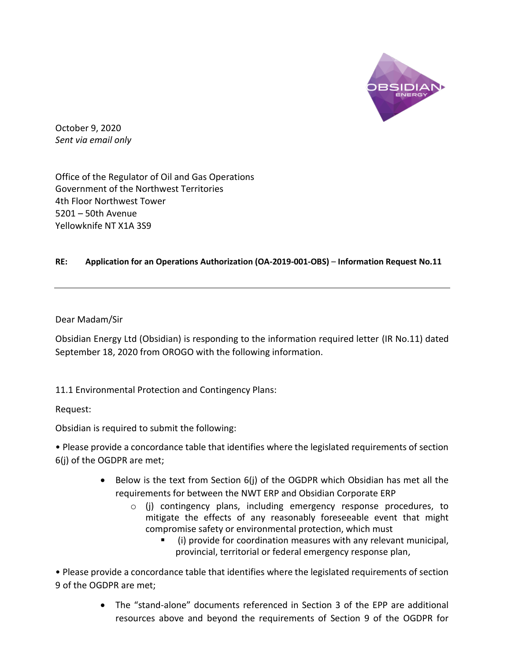

October 9, 2020 *Sent via email only*

Office of the Regulator of Oil and Gas Operations Government of the Northwest Territories 4th Floor Northwest Tower 5201 – 50th Avenue Yellowknife NT X1A 3S9

## **RE: Application for an Operations Authorization (OA-2019-001-OBS)** – **Information Request No.11**

Dear Madam/Sir

Obsidian Energy Ltd (Obsidian) is responding to the information required letter (IR No.11) dated September 18, 2020 from OROGO with the following information.

11.1 Environmental Protection and Contingency Plans:

Request:

Obsidian is required to submit the following:

• Please provide a concordance table that identifies where the legislated requirements of section 6(j) of the OGDPR are met;

- Below is the text from Section 6(j) of the OGDPR which Obsidian has met all the requirements for between the NWT ERP and Obsidian Corporate ERP
	- o (j) contingency plans, including emergency response procedures, to mitigate the effects of any reasonably foreseeable event that might compromise safety or environmental protection, which must
		- (i) provide for coordination measures with any relevant municipal, provincial, territorial or federal emergency response plan,

• Please provide a concordance table that identifies where the legislated requirements of section 9 of the OGDPR are met;

> • The "stand-alone" documents referenced in Section 3 of the EPP are additional resources above and beyond the requirements of Section 9 of the OGDPR for